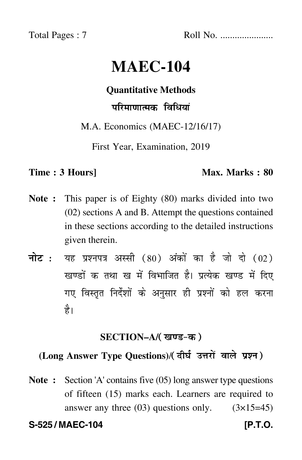Total Pages : 7 Roll No. ......................

# **MAEC-104**

# **Quantitative Methods**

# परिमाणात्मक विधियां

M.A. Economics (MAEC-12/16/17)

First Year, Examination, 2019

## **Time : 3 Hours]** Max. Marks : 80

- **Note :** This paper is of Eighty (80) marks divided into two (02) sections A and B. Attempt the questions contained in these sections according to the detailed instructions given therein.
- नोट : यह प्रश्नपत्र अस्सी (80) अंकों का है जो दो (02) खण्डों क तथा ख में विभाजित है। प्रत्येक खण्ड में दिए गए विस्तृत निर्देशों के अनुसार ही प्रश्नों को हल करन<mark>ा</mark> है।

# **SECTION–A/**

# **(Long Answer Type Questions)**/

**Note :** Section 'A' contains five (05) long answer type questions of fifteen (15) marks each. Learners are required to answer any three  $(03)$  questions only.  $(3\times15=45)$ 

**S-525 / MAEC-104 [P.T.O.**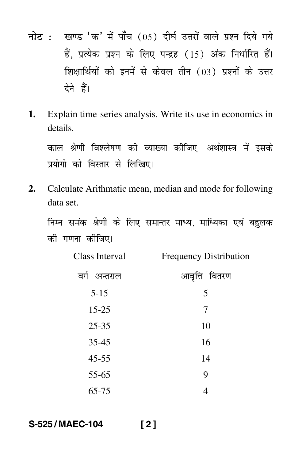- नोट : खण्ड 'क' में पाँच (05) दीर्घ उत्तरों वाले प्रश्न दिये गये हैं. प्रत्येक प्रश्न के लिए पन्द्रह (15) अंक निर्धारित हैं। शिक्षार्थियों को इनमें से केवल तीन (03) प्रश्नों के उत्तर देने हैं।
- 1. Explain time-series analysis. Write its use in economics in details.

काल श्रेणी विश्लेषण की व्याख्या कीजिए। अर्थशास्त्र में इसके प्रयोगो को विस्तार से लिखिए।

Calculate Arithmatic mean, median and mode for following  $2.$ data set.

निम्न समंक श्रेणी के लिए समान्तर माध्य, माध्यिका एवं बहुलक की गणना कीजिए।

| Class Interval  | <b>Frequency Distribution</b> |
|-----------------|-------------------------------|
| वर्ग<br>अन्तराल | आवृत्ति वितरण                 |
| $5 - 15$        | 5                             |
| $15 - 25$       | 7                             |
| $25 - 35$       | 10                            |
| $35 - 45$       | 16                            |
| $45 - 55$       | 14                            |
| 55-65           | 9                             |
| 65-75           | 4                             |

S-525/MAEC-104  $[2]$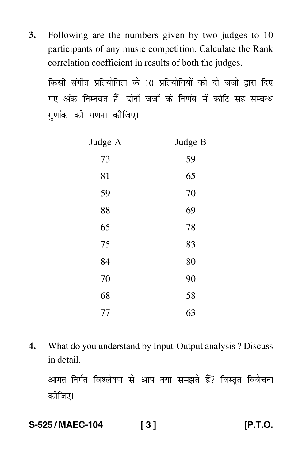**3.** Following are the numbers given by two judges to 10 participants of any music competition. Calculate the Rank correlation coefficient in results of both the judges.

किसी संगीत प्रतियोगिता के 10 प्रतियोगियों को दो जजो द्वारा दिए गए अंक निम्नवत हैं। दोनों जजों के निर्णय में कोटि सह–सम्बन्ध गुणांक की गणना कीजिए। -

| Judge A | Judge B |
|---------|---------|
| 73      | 59      |
| 81      | 65      |
| 59      | 70      |
| 88      | 69      |
| 65      | 78      |
| 75      | 83      |
| 84      | 80      |
| 70      | 90      |
| 68      | 58      |
| 77      | 63      |

**4.** What do you understand by Input-Output analysis ? Discuss in detail.

आगत-निर्गत विश्लेषण से आप क्या समझते हैं? विस्तृत विवेचना कीजिए।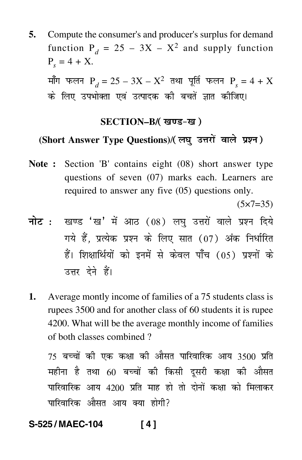**5.** Compute the consumer's and producer's surplus for demand function  $P_d = 25 - 3X - X^2$  and supply function  $P_s = 4 + X$ .

माँग फलन P $_{d}$  = 25 – 3X – X<sup>2</sup> तथा पूर्ति फलन P $_{s}$  = 4 + X -के लिए उपभोक्ता एवं उत्पादक की बचतें ज्ञात कीजिए। -

### **SECTION–B/**

# **(Short Answer Type Questions)**/

**Note :** Section 'B' contains eight (08) short answer type questions of seven (07) marks each. Learners are required to answer any five (05) questions only.

 $(5 \times 7 = 35)$ 

- <mark>नोट</mark> : खण्ड 'ख' में आठ (08) लघु उत्तरों वाले प्रश्न दिये गये हैं, प्रत्येक प्रश्न के लिए सात (07) अंक निर्धारित हैं। शिक्षार्थियों को इनमें से केवल पाँच (05) प्रश्नों के उत्तर देने हैं।
- **1.** Average montly income of families of a 75 students class is rupees 3500 and for another class of 60 students it is rupee 4200. What will be the average monthly income of families of both classes combined ?

 $75$  बच्चों की एक कक्षा की औसत पारिवारिक आय 3500 प्रति --महीना है तथा 60 बच्चों की किसी दूसरी कक्षा की औसत --पारिवारिक आय 4200 प्रति माह हो तो दोनों कक्षा को मिलाकर --पारिवारिक औसत आय क्या होगी? -

### **S-525 / MAEC-104 [ 4 ]**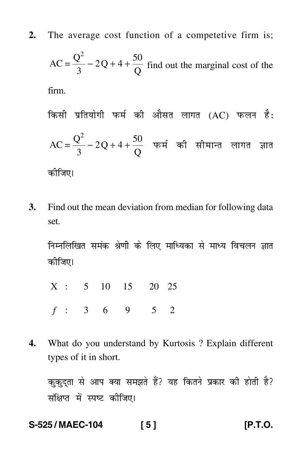**2.** The average cost function of a competetive firm is;

$$
AC = \frac{Q^2}{3} - 2Q + 4 + \frac{50}{Q}
$$
 find out the marginal cost of the  
firm.

किसी प्रतियोगी फर्म की औसत लागत (AC) फलन है:  
AC = 
$$
\frac{Q^2}{3}
$$
 – 2Q + 4 +  $\frac{50}{Q}$  फर्म की सीमान्त लागत ज्ञात  
कौजिए।

**3.** Find out the mean deviation from median for following data set.

निम्नलिखित समंक श्रेणी के लिए माध्यिका से माध्य विचलन ज्ञात कीजिए।

X : 5 10 15 20 25

- *f* : 36 9 52
- **4.** What do you understand by Kurtosis ? Explain different types of it in short.

कुकुद्ता से आप क्या समझते हैं? यह कितने प्रकार की होती है? संक्षिप्त में स्पष्ट कीजिए।

# **S-525 / MAEC-104 [ 5 ] [P.T.O.**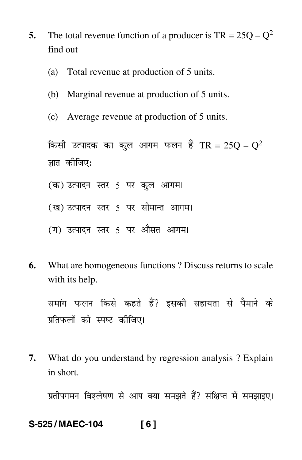- **5.** The total revenue function of a producer is  $TR = 25Q Q^2$ find out
	- (a) Total revenue at production of 5 units.
	- (b) Marginal revenue at production of 5 units.
	- (c) Average revenue at production of 5 units.

किसी उत्पादक का कुल आगम फलन हैं TR = 25 $\rm Q$  –  $\rm Q^2$ ज्ञात कीजिए:

- (क) उत्पादन स्तर 5 पर कुल आगम।
- (ख) उत्पादन स्तर 5 पर सीमान्त आगम।
- (ग) उत्पादन स्तर 5 पर औसत आगम।
- **6.** What are homogeneous functions ? Discuss returns to scale with its help.

समांग फलन किसे कहते हैं? इसकी सहायता से पैमाने के प्रतिफलों को स्पष्ट कीजिए।

**7.** What do you understand by regression analysis ? Explain in short.

प्रतीपगमन विश्लेषण से आप क्या समझते हैं? संक्षिप्त में समझाइए।

### **S-525 / MAEC-104 [ 6 ]**